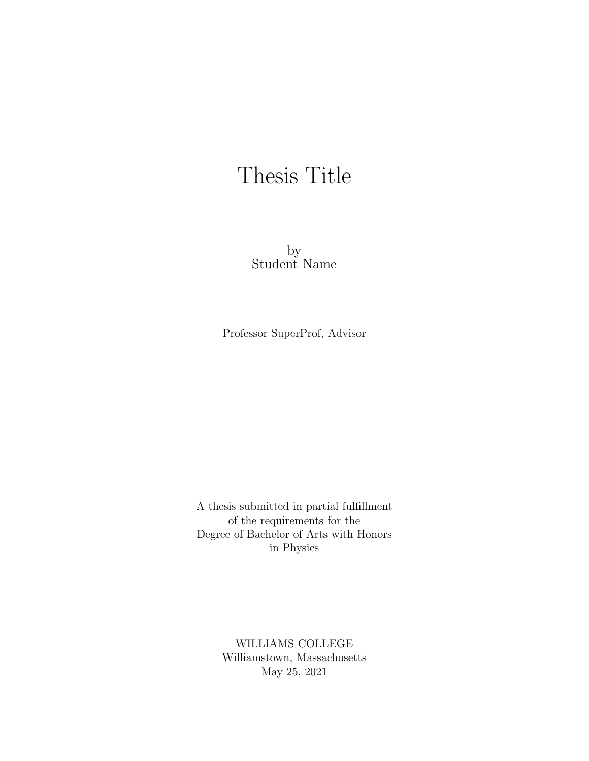## Thesis Title

by Student Name

Professor SuperProf, Advisor

A thesis submitted in partial fulfillment of the requirements for the Degree of Bachelor of Arts with Honors in Physics

> WILLIAMS COLLEGE Williamstown, Massachusetts May 25, 2021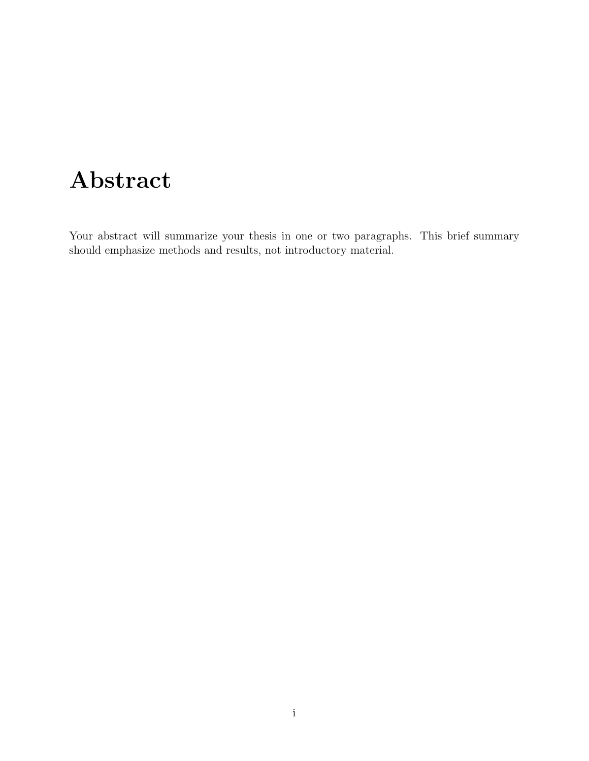## Abstract

Your abstract will summarize your thesis in one or two paragraphs. This brief summary should emphasize methods and results, not introductory material.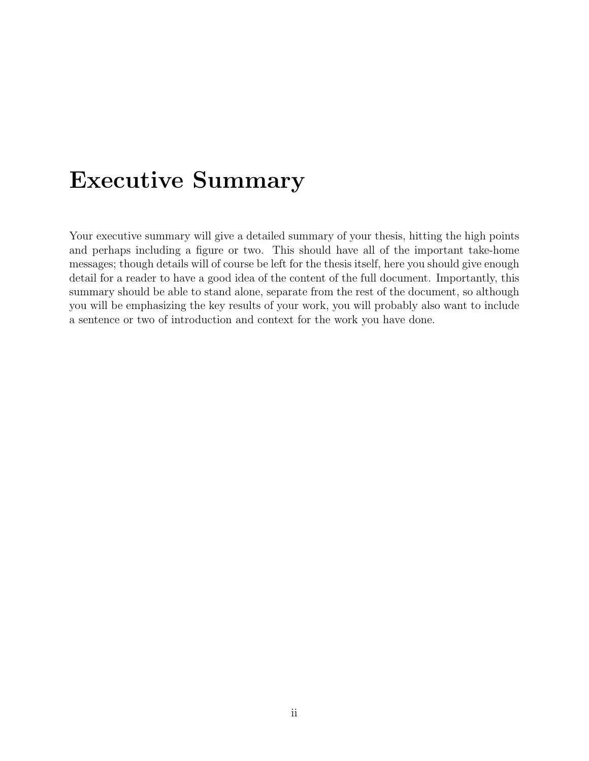## Executive Summary

Your executive summary will give a detailed summary of your thesis, hitting the high points and perhaps including a figure or two. This should have all of the important take-home messages; though details will of course be left for the thesis itself, here you should give enough detail for a reader to have a good idea of the content of the full document. Importantly, this summary should be able to stand alone, separate from the rest of the document, so although you will be emphasizing the key results of your work, you will probably also want to include a sentence or two of introduction and context for the work you have done.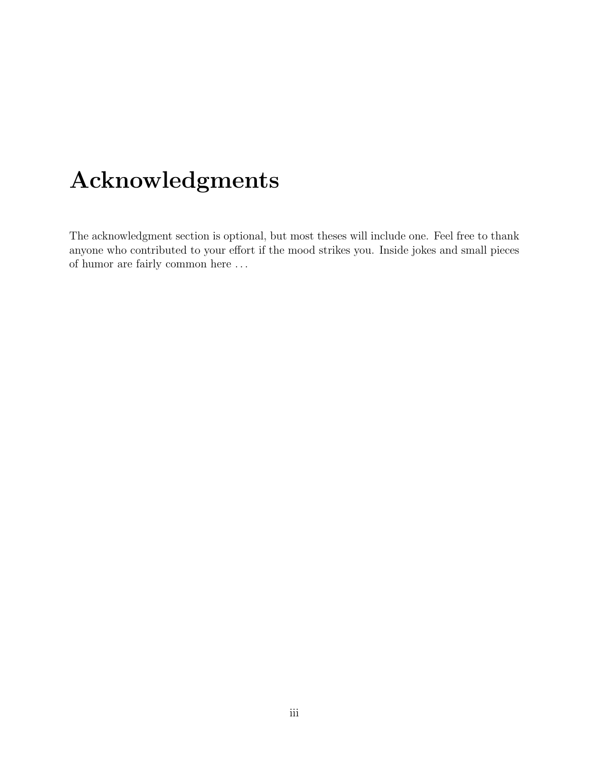## Acknowledgments

The acknowledgment section is optional, but most theses will include one. Feel free to thank anyone who contributed to your effort if the mood strikes you. Inside jokes and small pieces of humor are fairly common here . . .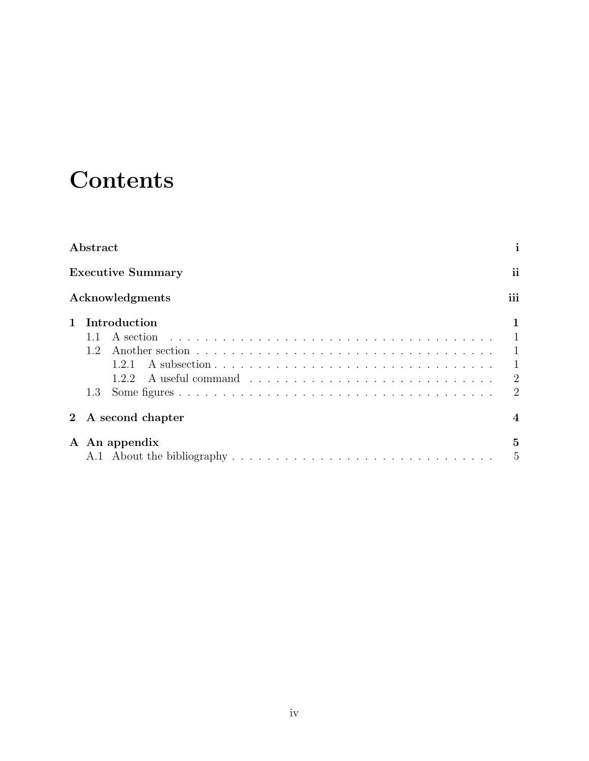## **Contents**

| Abstract                                    | i                                                                |
|---------------------------------------------|------------------------------------------------------------------|
| <b>Executive Summary</b>                    | ii                                                               |
| Acknowledgments                             | iii                                                              |
| Introduction<br>12<br>1.2.1<br>1.2.2<br>1.3 | $\mathbf{1}$<br>$\mathbf{1}$<br>$\overline{2}$<br>$\overline{2}$ |
| A second chapter                            | $\boldsymbol{\Lambda}$                                           |
| A An appendix                               | $\mathbf{5}$<br>5                                                |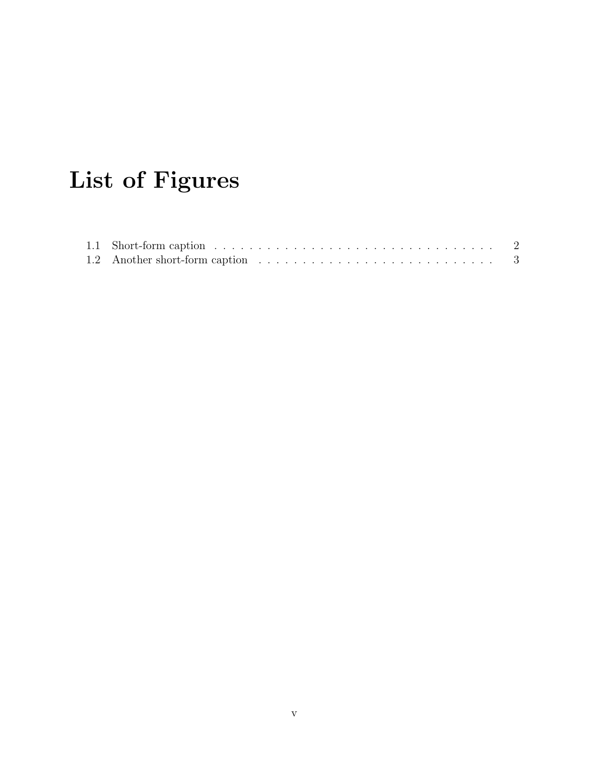# List of Figures

| 1.1 Short-form caption $\ldots \ldots \ldots \ldots \ldots \ldots \ldots \ldots \ldots \ldots \ldots \ldots$ |  |
|--------------------------------------------------------------------------------------------------------------|--|
|                                                                                                              |  |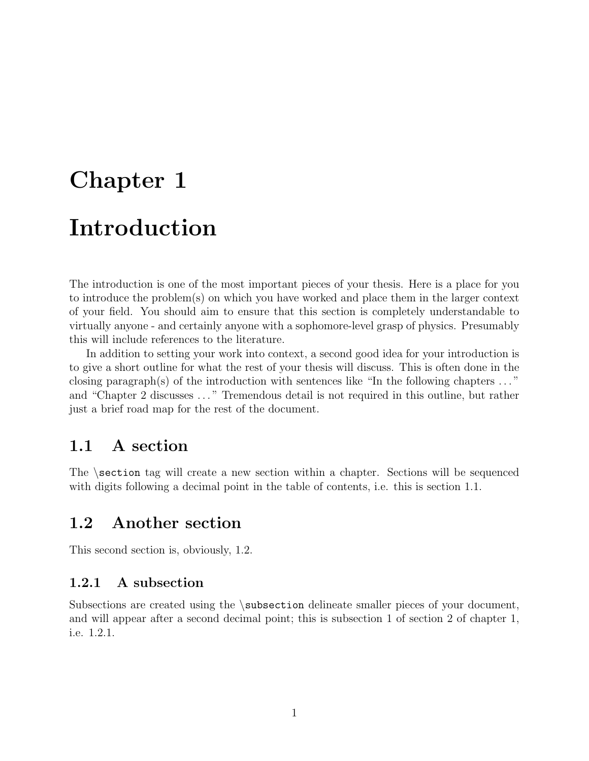# Chapter 1 Introduction

The introduction is one of the most important pieces of your thesis. Here is a place for you to introduce the problem(s) on which you have worked and place them in the larger context of your field. You should aim to ensure that this section is completely understandable to virtually anyone - and certainly anyone with a sophomore-level grasp of physics. Presumably this will include references to the literature.

In addition to setting your work into context, a second good idea for your introduction is to give a short outline for what the rest of your thesis will discuss. This is often done in the closing paragraph(s) of the introduction with sentences like "In the following chapters  $\dots$ " and "Chapter 2 discusses . . . " Tremendous detail is not required in this outline, but rather just a brief road map for the rest of the document.

### 1.1 A section

The  $\setminus$  section tag will create a new section within a chapter. Sections will be sequenced with digits following a decimal point in the table of contents, i.e. this is section 1.1.

### 1.2 Another section

This second section is, obviously, 1.2.

#### 1.2.1 A subsection

Subsections are created using the \subsection delineate smaller pieces of your document, and will appear after a second decimal point; this is subsection 1 of section 2 of chapter 1, i.e. 1.2.1.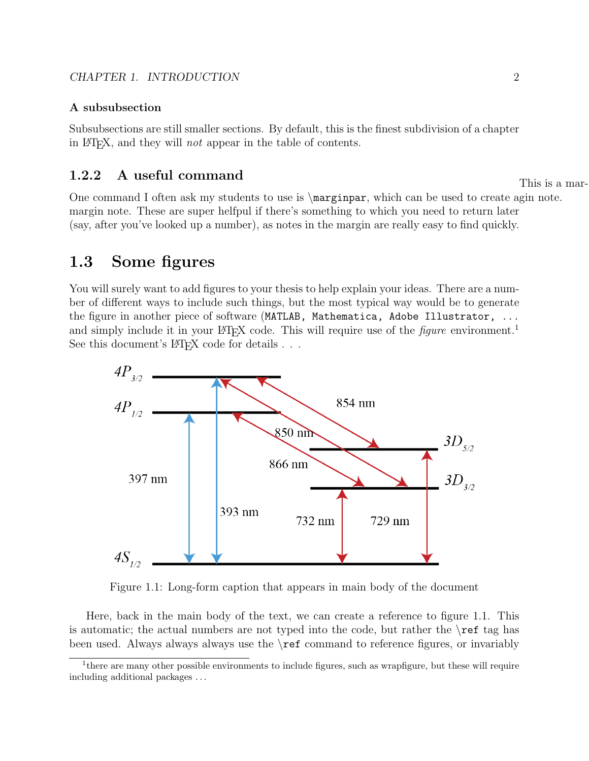#### A subsubsection

Subsubsections are still smaller sections. By default, this is the finest subdivision of a chapter in LATEX, and they will not appear in the table of contents.

## 1.2.2 A useful command This is a mar-

One command I often ask my students to use is \marginpar, which can be used to create agin note. margin note. These are super helfpul if there's something to which you need to return later (say, after you've looked up a number), as notes in the margin are really easy to find quickly.

### 1.3 Some figures

You will surely want to add figures to your thesis to help explain your ideas. There are a number of different ways to include such things, but the most typical way would be to generate the figure in another piece of software (MATLAB, Mathematica, Adobe Illustrator, ... and simply include it in your LATEX code. This will require use of the *figure* environment.<sup>1</sup> See this document's  $\LaTeX{}$  code for details . . .



Figure 1.1: Long-form caption that appears in main body of the document

Here, back in the main body of the text, we can create a reference to figure 1.1. This is automatic; the actual numbers are not typed into the code, but rather the  $\mathcal{F}$  tag has been used. Always always always use the \ref command to reference figures, or invariably

<sup>&</sup>lt;sup>1</sup>there are many other possible environments to include figures, such as wrapfigure, but these will require including additional packages . . .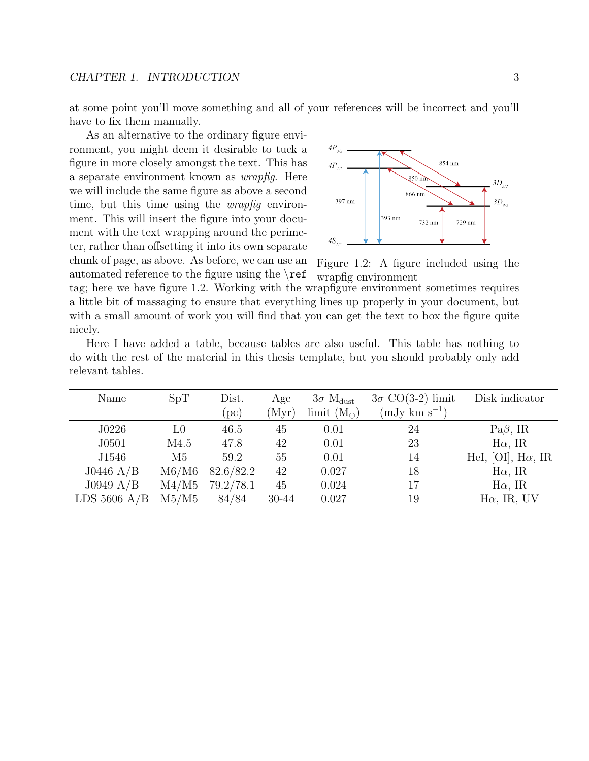at some point you'll move something and all of your references will be incorrect and you'll have to fix them manually.

As an alternative to the ordinary figure environment, you might deem it desirable to tuck a figure in more closely amongst the text. This has a separate environment known as wrapfig. Here we will include the same figure as above a second time, but this time using the *wrapfig* environment. This will insert the figure into your document with the text wrapping around the perimeter, rather than offsetting it into its own separate chunk of page, as above. As before, we can use an

automated reference to the figure using the  $\ref$ 



Figure 1.2: A figure included using the wrapfig environment

tag; here we have figure 1.2. Working with the wrapfigure environment sometimes requires a little bit of massaging to ensure that everything lines up properly in your document, but with a small amount of work you will find that you can get the text to box the figure quite nicely.

|  |                  |  |  |  | Here I have added a table, because tables are also useful. This table has nothing to       |  |
|--|------------------|--|--|--|--------------------------------------------------------------------------------------------|--|
|  |                  |  |  |  | do with the rest of the material in this thesis template, but you should probably only add |  |
|  | relevant tables. |  |  |  |                                                                                            |  |

| Name           | $3\sigma$ CO(3-2) limit<br>Dist.<br>SpT<br>$3\sigma$ M <sub>dust</sub><br>Age |           | Disk indicator |                      |                           |                           |
|----------------|-------------------------------------------------------------------------------|-----------|----------------|----------------------|---------------------------|---------------------------|
|                |                                                                               | (pc)      | (Myr)          | limit $(M_{\oplus})$ | $(mJy \text{ km s}^{-1})$ |                           |
| J0226          | L0                                                                            | 46.5      | 45             | 0.01                 | 24                        | $Pa\beta$ , IR            |
| J0501          | M4.5                                                                          | 47.8      | 42             | 0.01                 | 23                        | $H\alpha$ , IR            |
| J1546          | M <sub>5</sub>                                                                | 59.2      | 55             | 0.01                 | 14                        | HeI, [OI], $H\alpha$ , IR |
| $J0446$ A/B    | $\rm M6/M6$                                                                   | 82.6/82.2 | 42             | 0.027                | 18                        | $H\alpha$ , IR            |
| J0949 A/B      | $\text{M}4/\text{M}5$                                                         | 79.2/78.1 | 45             | 0.024                | 17                        | $H\alpha$ , IR            |
| LDS $5606$ A/B | M5/M5                                                                         | 84/84     | 30-44          | 0.027                | 19                        | $H\alpha$ , IR, UV        |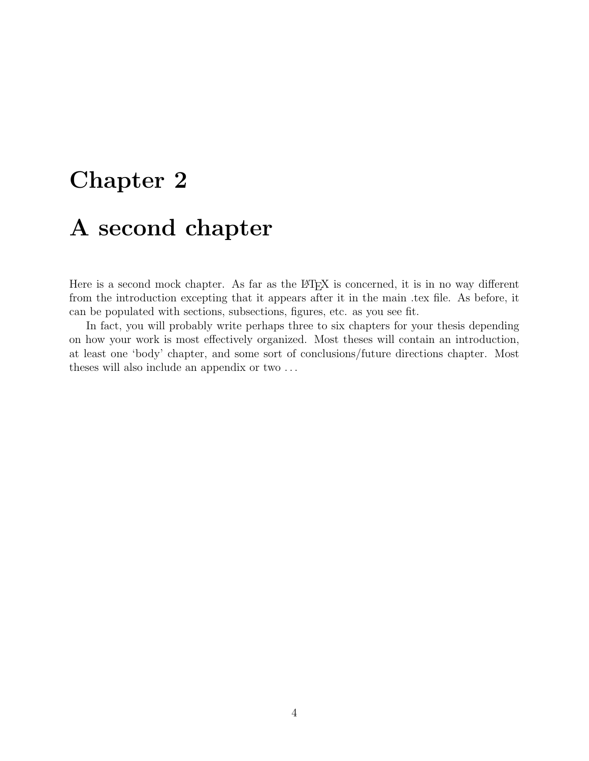# Chapter 2 A second chapter

Here is a second mock chapter. As far as the LAT<sub>E</sub>X is concerned, it is in no way different from the introduction excepting that it appears after it in the main .tex file. As before, it can be populated with sections, subsections, figures, etc. as you see fit.

In fact, you will probably write perhaps three to six chapters for your thesis depending on how your work is most effectively organized. Most theses will contain an introduction, at least one 'body' chapter, and some sort of conclusions/future directions chapter. Most theses will also include an appendix or two . . .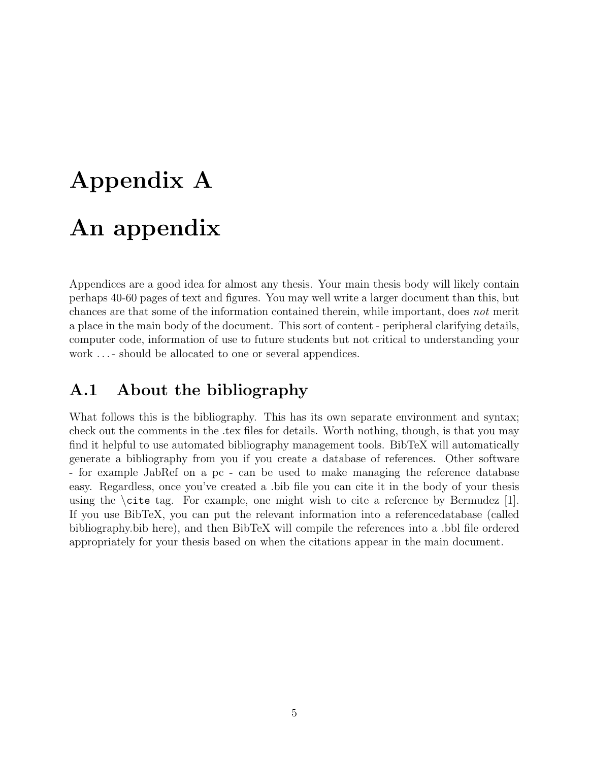# Appendix A An appendix

Appendices are a good idea for almost any thesis. Your main thesis body will likely contain perhaps 40-60 pages of text and figures. You may well write a larger document than this, but chances are that some of the information contained therein, while important, does not merit a place in the main body of the document. This sort of content - peripheral clarifying details, computer code, information of use to future students but not critical to understanding your work ... - should be allocated to one or several appendices.

## A.1 About the bibliography

What follows this is the bibliography. This has its own separate environment and syntax; check out the comments in the .tex files for details. Worth nothing, though, is that you may find it helpful to use automated bibliography management tools. BibTeX will automatically generate a bibliography from you if you create a database of references. Other software - for example JabRef on a pc - can be used to make managing the reference database easy. Regardless, once you've created a .bib file you can cite it in the body of your thesis using the  $\c{ite tag.}$  For example, one might wish to cite a reference by Bermudez [1]. If you use BibTeX, you can put the relevant information into a referencedatabase (called bibliography.bib here), and then BibTeX will compile the references into a .bbl file ordered appropriately for your thesis based on when the citations appear in the main document.